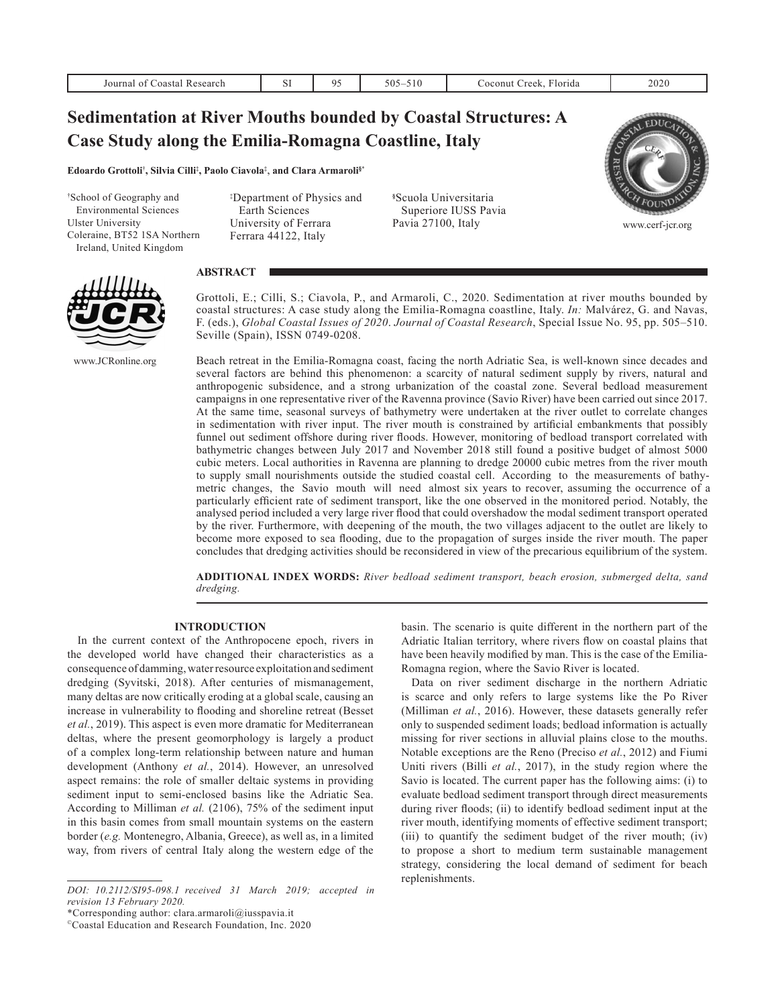| Journal of Coastal Research                                                                                                                                  | SI                                                                                                        | 95 | $505 - 510$                                             | Coconut Creek, Florida | 2020             |
|--------------------------------------------------------------------------------------------------------------------------------------------------------------|-----------------------------------------------------------------------------------------------------------|----|---------------------------------------------------------|------------------------|------------------|
| <b>Sedimentation at River Mouths bounded by Coastal Structures: A</b><br>Case Study along the Emilia-Romagna Coastline, Italy                                |                                                                                                           |    |                                                         |                        |                  |
| Edoardo Grottoli <sup>†</sup> , Silvia Cilli <sup>‡</sup> , Paolo Ciavola <sup>‡</sup> , and Clara Armaroli <sup>§*</sup>                                    |                                                                                                           |    |                                                         |                        |                  |
| <sup>†</sup> School of Geography and<br><b>Environmental Sciences</b><br><b>Ulster University</b><br>Coleraine, BT52 1SA Northern<br>Ireland, United Kingdom | <sup>‡</sup> Department of Physics and<br>Earth Sciences<br>University of Ferrara<br>Ferrara 44122, Italy |    | <sup>§</sup> Scuola Universitaria<br>Pavia 27100, Italy | Superiore IUSS Pavia   | www.cerf-jcr.org |



www.JCRonline.org

# **ABSTRACT**

Grottoli, E.; Cilli, S.; Ciavola, P., and Armaroli, C., 2020. Sedimentation at river mouths bounded by coastal structures: A case study along the Emilia-Romagna coastline, Italy. *In:* Malvárez, G. and Navas, F. (eds.), *Global Coastal Issues of 2020*. *Journal of Coastal Research*, Special Issue No. 95, pp. 505–510. Seville (Spain), ISSN 0749-0208.

Beach retreat in the Emilia-Romagna coast, facing the north Adriatic Sea, is well-known since decades and several factors are behind this phenomenon: a scarcity of natural sediment supply by rivers, natural and anthropogenic subsidence, and a strong urbanization of the coastal zone. Several bedload measurement campaigns in one representative river of the Ravenna province (Savio River) have been carried out since 2017. At the same time, seasonal surveys of bathymetry were undertaken at the river outlet to correlate changes in sedimentation with river input. The river mouth is constrained by artificial embankments that possibly funnel out sediment offshore during river floods. However, monitoring of bedload transport correlated with bathymetric changes between July 2017 and November 2018 still found a positive budget of almost 5000 cubic meters. Local authorities in Ravenna are planning to dredge 20000 cubic metres from the river mouth to supply small nourishments outside the studied coastal cell. According to the measurements of bathymetric changes, the Savio mouth will need almost six years to recover, assuming the occurrence of a particularly efficient rate of sediment transport, like the one observed in the monitored period. Notably, the analysed period included a very large river flood that could overshadow the modal sediment transport operated by the river. Furthermore, with deepening of the mouth, the two villages adjacent to the outlet are likely to become more exposed to sea flooding, due to the propagation of surges inside the river mouth. The paper concludes that dredging activities should be reconsidered in view of the precarious equilibrium of the system.

**ADDITIONAL INDEX WORDS:** *River bedload sediment transport, beach erosion, submerged delta, sand dredging.*

# **INTRODUCTION**

In the current context of the Anthropocene epoch, rivers in the developed world have changed their characteristics as a consequence of damming, water resource exploitation and sediment dredging (Syvitski, 2018). After centuries of mismanagement, many deltas are now critically eroding at a global scale, causing an increase in vulnerability to flooding and shoreline retreat (Besset *et al.*, 2019). This aspect is even more dramatic for Mediterranean deltas, where the present geomorphology is largely a product of a complex long-term relationship between nature and human development (Anthony *et al.*, 2014). However, an unresolved aspect remains: the role of smaller deltaic systems in providing sediment input to semi-enclosed basins like the Adriatic Sea. According to Milliman *et al.* (2106), 75% of the sediment input in this basin comes from small mountain systems on the eastern border (*e.g.* Montenegro, Albania, Greece), as well as, in a limited way, from rivers of central Italy along the western edge of the

basin. The scenario is quite different in the northern part of the Adriatic Italian territory, where rivers flow on coastal plains that have been heavily modified by man. This is the case of the Emilia-Romagna region, where the Savio River is located.

Data on river sediment discharge in the northern Adriatic is scarce and only refers to large systems like the Po River (Milliman *et al.*, 2016). However, these datasets generally refer only to suspended sediment loads; bedload information is actually missing for river sections in alluvial plains close to the mouths. Notable exceptions are the Reno (Preciso *et al.*, 2012) and Fiumi Uniti rivers (Billi *et al.*, 2017), in the study region where the Savio is located. The current paper has the following aims: (i) to evaluate bedload sediment transport through direct measurements during river floods; (ii) to identify bedload sediment input at the river mouth, identifying moments of effective sediment transport; (iii) to quantify the sediment budget of the river mouth; (iv) to propose a short to medium term sustainable management strategy, considering the local demand of sediment for beach replenishments.

*DOI: 10.2112/SI95-098.1 received 31 March 2019; accepted in revision 13 February 2020.*

<sup>\*</sup>Corresponding author: clara.armaroli@iusspavia.it

<sup>©</sup>Coastal Education and Research Foundation, Inc. 2020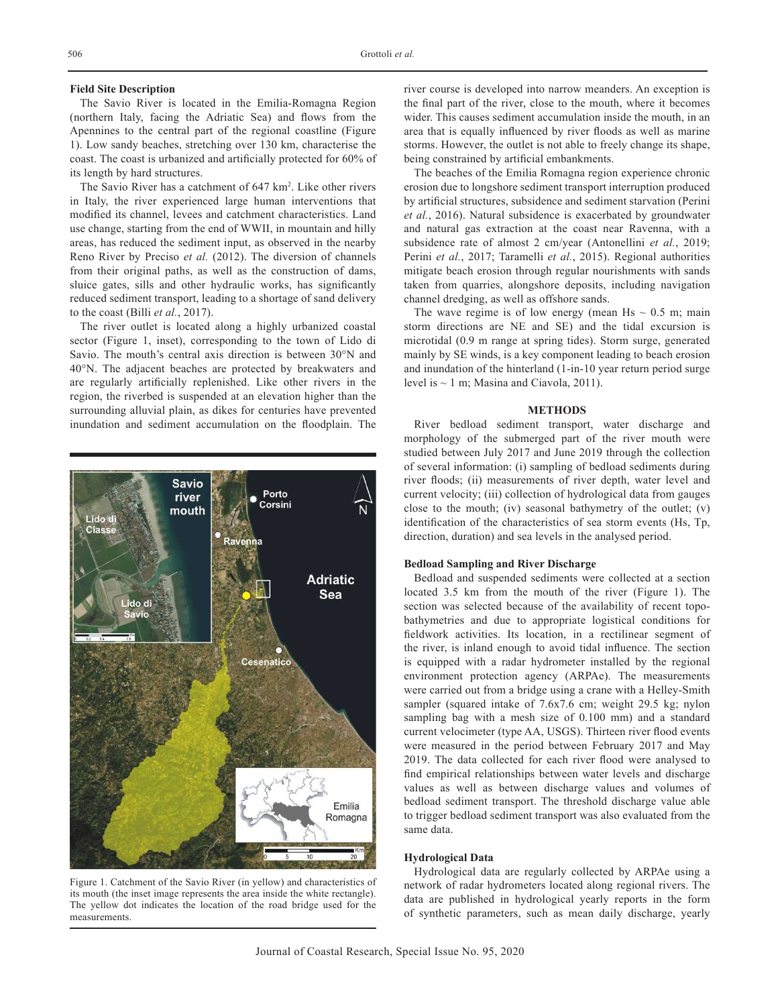#### **Field Site Description**

The Savio River is located in the Emilia-Romagna Region (northern Italy, facing the Adriatic Sea) and flows from the Apennines to the central part of the regional coastline (Figure 1). Low sandy beaches, stretching over 130 km, characterise the coast. The coast is urbanized and artificially protected for 60% of its length by hard structures.

The Savio River has a catchment of 647 km2 . Like other rivers in Italy, the river experienced large human interventions that modified its channel, levees and catchment characteristics. Land use change, starting from the end of WWII, in mountain and hilly areas, has reduced the sediment input, as observed in the nearby Reno River by Preciso *et al.* (2012). The diversion of channels from their original paths, as well as the construction of dams, sluice gates, sills and other hydraulic works, has significantly reduced sediment transport, leading to a shortage of sand delivery to the coast (Billi *et al.*, 2017).

The river outlet is located along a highly urbanized coastal sector (Figure 1, inset), corresponding to the town of Lido di Savio. The mouth's central axis direction is between 30°N and 40°N. The adjacent beaches are protected by breakwaters and are regularly artificially replenished. Like other rivers in the region, the riverbed is suspended at an elevation higher than the surrounding alluvial plain, as dikes for centuries have prevented inundation and sediment accumulation on the floodplain. The



Figure 1. Catchment of the Savio River (in yellow) and characteristics of its mouth (the inset image represents the area inside the white rectangle). The yellow dot indicates the location of the road bridge used for the measurements.

river course is developed into narrow meanders. An exception is the final part of the river, close to the mouth, where it becomes wider. This causes sediment accumulation inside the mouth, in an area that is equally influenced by river floods as well as marine storms. However, the outlet is not able to freely change its shape, being constrained by artificial embankments.

The beaches of the Emilia Romagna region experience chronic erosion due to longshore sediment transport interruption produced by artificial structures, subsidence and sediment starvation (Perini *et al.*, 2016). Natural subsidence is exacerbated by groundwater and natural gas extraction at the coast near Ravenna, with a subsidence rate of almost 2 cm/year (Antonellini *et al.*, 2019; Perini *et al.*, 2017; Taramelli *et al.*, 2015). Regional authorities mitigate beach erosion through regular nourishments with sands taken from quarries, alongshore deposits, including navigation channel dredging, as well as offshore sands.

The wave regime is of low energy (mean Hs  $\sim 0.5$  m; main storm directions are NE and SE) and the tidal excursion is microtidal (0.9 m range at spring tides). Storm surge, generated mainly by SE winds, is a key component leading to beach erosion and inundation of the hinterland (1-in-10 year return period surge level is  $\sim$  1 m; Masina and Ciavola, 2011).

### **METHODS**

River bedload sediment transport, water discharge and morphology of the submerged part of the river mouth were studied between July 2017 and June 2019 through the collection of several information: (i) sampling of bedload sediments during river floods; (ii) measurements of river depth, water level and current velocity; (iii) collection of hydrological data from gauges close to the mouth; (iv) seasonal bathymetry of the outlet; (v) identification of the characteristics of sea storm events (Hs, Tp, direction, duration) and sea levels in the analysed period.

# **Bedload Sampling and River Discharge**

Bedload and suspended sediments were collected at a section located 3.5 km from the mouth of the river (Figure 1). The section was selected because of the availability of recent topobathymetries and due to appropriate logistical conditions for fieldwork activities. Its location, in a rectilinear segment of the river, is inland enough to avoid tidal influence. The section is equipped with a radar hydrometer installed by the regional environment protection agency (ARPAe). The measurements were carried out from a bridge using a crane with a Helley-Smith sampler (squared intake of 7.6x7.6 cm; weight 29.5 kg; nylon sampling bag with a mesh size of 0.100 mm) and a standard current velocimeter (type AA, USGS). Thirteen river flood events were measured in the period between February 2017 and May 2019. The data collected for each river flood were analysed to find empirical relationships between water levels and discharge values as well as between discharge values and volumes of bedload sediment transport. The threshold discharge value able to trigger bedload sediment transport was also evaluated from the same data.

#### **Hydrological Data**

Hydrological data are regularly collected by ARPAe using a network of radar hydrometers located along regional rivers. The data are published in hydrological yearly reports in the form of synthetic parameters, such as mean daily discharge, yearly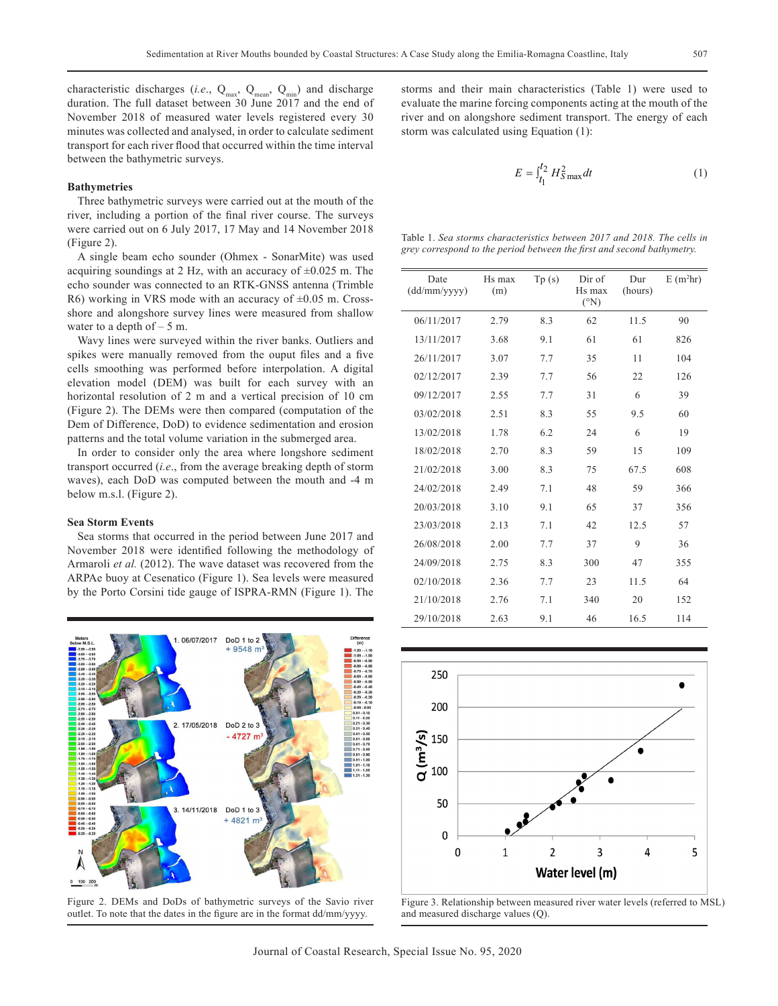characteristic discharges (*i.e.*,  $Q_{max}$ ,  $Q_{mean}$ ,  $Q_{min}$ ) and discharge duration. The full dataset between 30 June 2017 and the end of November 2018 of measured water levels registered every 30 minutes was collected and analysed, in order to calculate sediment transport for each river flood that occurred within the time interval between the bathymetric surveys.

## **Bathymetries**

Three bathymetric surveys were carried out at the mouth of the river, including a portion of the final river course. The surveys were carried out on 6 July 2017, 17 May and 14 November 2018 (Figure 2).

A single beam echo sounder (Ohmex - SonarMite) was used acquiring soundings at 2 Hz, with an accuracy of  $\pm 0.025$  m. The echo sounder was connected to an RTK-GNSS antenna (Trimble R6) working in VRS mode with an accuracy of  $\pm 0.05$  m. Crossshore and alongshore survey lines were measured from shallow water to a depth of  $-5$  m.

Wavy lines were surveyed within the river banks. Outliers and spikes were manually removed from the ouput files and a five cells smoothing was performed before interpolation. A digital elevation model (DEM) was built for each survey with an horizontal resolution of 2 m and a vertical precision of 10 cm (Figure 2). The DEMs were then compared (computation of the Dem of Difference, DoD) to evidence sedimentation and erosion patterns and the total volume variation in the submerged area.

In order to consider only the area where longshore sediment transport occurred (*i.e*., from the average breaking depth of storm waves), each DoD was computed between the mouth and -4 m below m.s.l. (Figure 2).

#### **Sea Storm Events**

 $0 100 20$ 

Sea storms that occurred in the period between June 2017 and November 2018 were identified following the methodology of Armaroli *et al.* (2012). The wave dataset was recovered from the ARPAe buoy at Cesenatico (Figure 1). Sea levels were measured by the Porto Corsini tide gauge of ISPRA-RMN (Figure 1). The

> DoD 1 to 2  $+9548$

DoD 2 to 3  $-4727$  m

06/07/2017

17/05/2018



$$
E = \int_{t_1}^{t_2} H_{S\,\text{max}}^2 dt \tag{1}
$$

|  | Table 1, Sea storms characteristics between 2017 and 2018. The cells in |  |  |
|--|-------------------------------------------------------------------------|--|--|
|  | grey correspond to the period between the first and second bathymetry.  |  |  |

| Date<br>(dd/mm/yyyy) | Hs max<br>(m) | Tp(s) | Dir of<br>Hs max<br>$({}^{\circ}N)$ | Dur<br>(hours) | $E(m^2hr)$ |
|----------------------|---------------|-------|-------------------------------------|----------------|------------|
| 06/11/2017           | 2.79          | 8.3   | 62                                  | 11.5           | 90         |
| 13/11/2017           | 3.68          | 9.1   | 61                                  | 61             | 826        |
| 26/11/2017           | 3.07          | 7.7   | 35                                  | 11             | 104        |
| 02/12/2017           | 2.39          | 7.7   | 56                                  | 22             | 126        |
| 09/12/2017           | 2.55          | 7.7   | 31                                  | 6              | 39         |
| 03/02/2018           | 2.51          | 8.3   | 55                                  | 9.5            | 60         |
| 13/02/2018           | 1.78          | 6.2   | 24                                  | 6              | 19         |
| 18/02/2018           | 2.70          | 8.3   | 59                                  | 15             | 109        |
| 21/02/2018           | 3.00          | 8.3   | 75                                  | 67.5           | 608        |
| 24/02/2018           | 2.49          | 7.1   | 48                                  | 59             | 366        |
| 20/03/2018           | 3.10          | 9.1   | 65                                  | 37             | 356        |
| 23/03/2018           | 2.13          | 7.1   | 42                                  | 12.5           | 57         |
| 26/08/2018           | 2.00          | 7.7   | 37                                  | 9              | 36         |
| 24/09/2018           | 2.75          | 8.3   | 300                                 | 47             | 355        |
| 02/10/2018           | 2.36          | 7.7   | 23                                  | 11.5           | 64         |
| 21/10/2018           | 2.76          | 7.1   | 340                                 | 20             | 152        |
| 29/10/2018           | 2.63          | 9.1   | 46                                  | 16.5           | 114        |



Figure 2. DEMs and DoDs of bathymetric surveys of the Savio river outlet. To note that the dates in the figure are in the format dd/mm/yyyy.

3. 14/11/2018 DoD 1 to 3  $+4821$ 

Figure 3. Relationship between measured river water levels (referred to MSL) and measured discharge values (Q).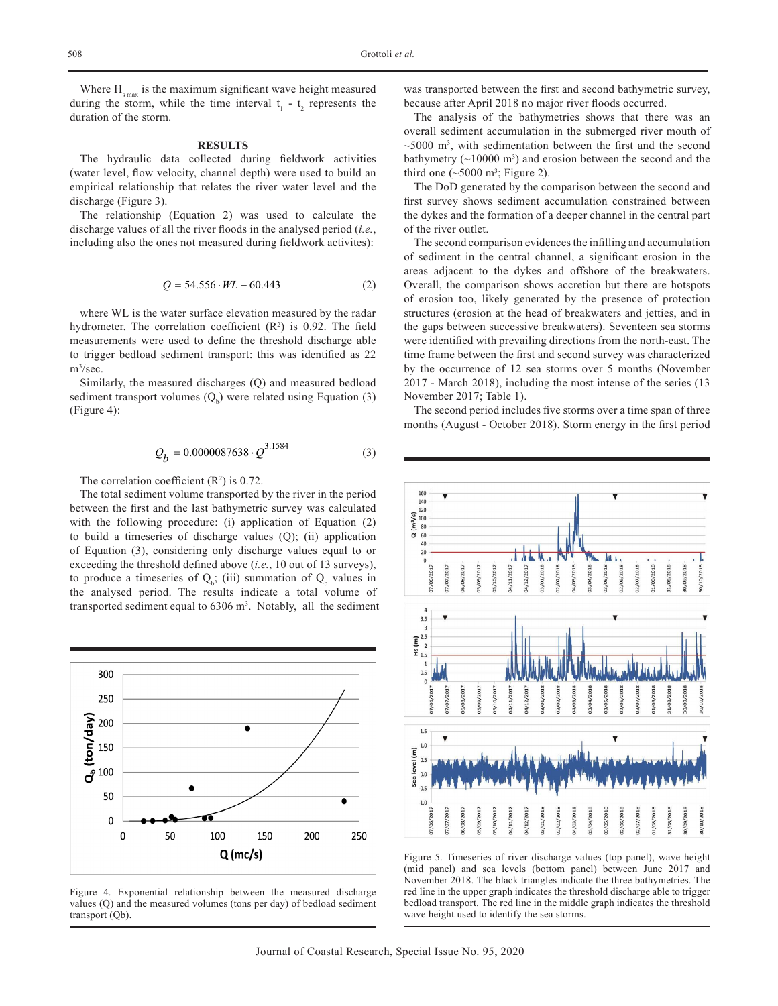Where  $H_{\text{smax}}$  is the maximum significant wave height measured during the storm, while the time interval  $t_1 - t_2$  represents the duration of the storm.

## **RESULTS**

The hydraulic data collected during fieldwork activities (water level, flow velocity, channel depth) were used to build an empirical relationship that relates the river water level and the discharge (Figure 3).

The relationship (Equation 2) was used to calculate the discharge values of all the river floods in the analysed period (*i.e.*, including also the ones not measured during fieldwork activites):

$$
Q = 54.556 \cdot WL - 60.443 \tag{2}
$$

where WL is the water surface elevation measured by the radar hydrometer. The correlation coefficient  $(R^2)$  is 0.92. The field measurements were used to define the threshold discharge able to trigger bedload sediment transport: this was identified as 22 m3 /sec.

Similarly, the measured discharges (Q) and measured bedload sediment transport volumes  $(Q_b)$  were related using Equation (3) (Figure 4):

$$
Q_b = 0.0000087638 \cdot Q^{3.1584} \tag{3}
$$

The correlation coefficient  $(R^2)$  is 0.72.

The total sediment volume transported by the river in the period between the first and the last bathymetric survey was calculated with the following procedure: (i) application of Equation (2) to build a timeseries of discharge values (Q); (ii) application of Equation (3), considering only discharge values equal to or exceeding the threshold defined above (*i.e.*, 10 out of 13 surveys), to produce a timeseries of  $Q<sub>b</sub>$ ; (iii) summation of  $Q<sub>b</sub>$  values in the analysed period. The results indicate a total volume of transported sediment equal to  $6306 \text{ m}^3$ . Notably, all the sediment



Figure 4. Exponential relationship between the measured discharge values (Q) and the measured volumes (tons per day) of bedload sediment transport (Qb).

was transported between the first and second bathymetric survey, because after April 2018 no major river floods occurred.

The analysis of the bathymetries shows that there was an overall sediment accumulation in the submerged river mouth of  $\sim$ 5000 m<sup>3</sup>, with sedimentation between the first and the second bathymetry  $(\sim 10000 \text{ m}^3)$  and erosion between the second and the third one  $(\sim 5000 \text{ m}^3)$ ; Figure 2).

The DoD generated by the comparison between the second and first survey shows sediment accumulation constrained between the dykes and the formation of a deeper channel in the central part of the river outlet.

The second comparison evidences the infilling and accumulation of sediment in the central channel, a significant erosion in the areas adjacent to the dykes and offshore of the breakwaters. Overall, the comparison shows accretion but there are hotspots of erosion too, likely generated by the presence of protection structures (erosion at the head of breakwaters and jetties, and in the gaps between successive breakwaters). Seventeen sea storms were identified with prevailing directions from the north-east. The time frame between the first and second survey was characterized by the occurrence of 12 sea storms over 5 months (November 2017 - March 2018), including the most intense of the series (13 November 2017; Table 1).

The second period includes five storms over a time span of three months (August - October 2018). Storm energy in the first period



Figure 5. Timeseries of river discharge values (top panel), wave height (mid panel) and sea levels (bottom panel) between June 2017 and November 2018. The black triangles indicate the three bathymetries. The red line in the upper graph indicates the threshold discharge able to trigger bedload transport. The red line in the middle graph indicates the threshold wave height used to identify the sea storms.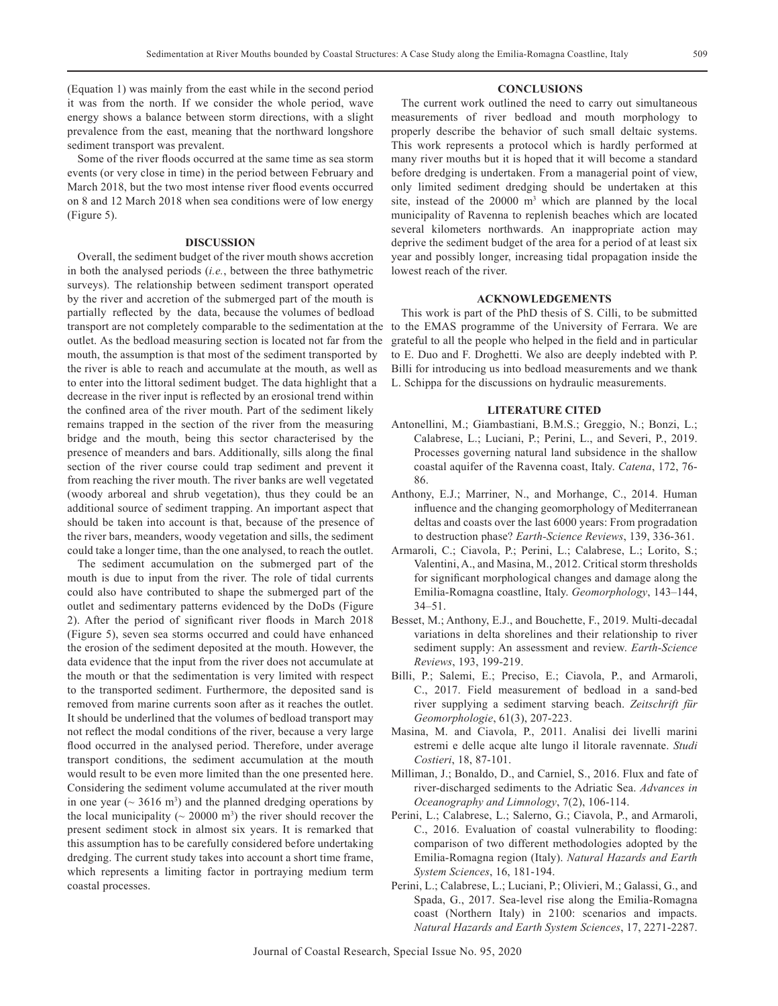(Equation 1) was mainly from the east while in the second period it was from the north. If we consider the whole period, wave energy shows a balance between storm directions, with a slight prevalence from the east, meaning that the northward longshore sediment transport was prevalent.

Some of the river floods occurred at the same time as sea storm events (or very close in time) in the period between February and March 2018, but the two most intense river flood events occurred on 8 and 12 March 2018 when sea conditions were of low energy (Figure 5).

### **DISCUSSION**

Overall, the sediment budget of the river mouth shows accretion in both the analysed periods (*i.e.*, between the three bathymetric surveys). The relationship between sediment transport operated by the river and accretion of the submerged part of the mouth is partially reflected by the data, because the volumes of bedload transport are not completely comparable to the sedimentation at the to the EMAS programme of the University of Ferrara. We are outlet. As the bedload measuring section is located not far from the mouth, the assumption is that most of the sediment transported by the river is able to reach and accumulate at the mouth, as well as to enter into the littoral sediment budget. The data highlight that a decrease in the river input is reflected by an erosional trend within the confined area of the river mouth. Part of the sediment likely remains trapped in the section of the river from the measuring bridge and the mouth, being this sector characterised by the presence of meanders and bars. Additionally, sills along the final section of the river course could trap sediment and prevent it from reaching the river mouth. The river banks are well vegetated (woody arboreal and shrub vegetation), thus they could be an additional source of sediment trapping. An important aspect that should be taken into account is that, because of the presence of the river bars, meanders, woody vegetation and sills, the sediment could take a longer time, than the one analysed, to reach the outlet.

The sediment accumulation on the submerged part of the mouth is due to input from the river. The role of tidal currents could also have contributed to shape the submerged part of the outlet and sedimentary patterns evidenced by the DoDs (Figure 2). After the period of significant river floods in March 2018 (Figure 5), seven sea storms occurred and could have enhanced the erosion of the sediment deposited at the mouth. However, the data evidence that the input from the river does not accumulate at the mouth or that the sedimentation is very limited with respect to the transported sediment. Furthermore, the deposited sand is removed from marine currents soon after as it reaches the outlet. It should be underlined that the volumes of bedload transport may not reflect the modal conditions of the river, because a very large flood occurred in the analysed period. Therefore, under average transport conditions, the sediment accumulation at the mouth would result to be even more limited than the one presented here. Considering the sediment volume accumulated at the river mouth in one year ( $\sim$  3616 m<sup>3</sup>) and the planned dredging operations by the local municipality ( $\sim 20000$  m<sup>3</sup>) the river should recover the present sediment stock in almost six years. It is remarked that this assumption has to be carefully considered before undertaking dredging. The current study takes into account a short time frame, which represents a limiting factor in portraying medium term coastal processes.

#### **CONCLUSIONS**

The current work outlined the need to carry out simultaneous measurements of river bedload and mouth morphology to properly describe the behavior of such small deltaic systems. This work represents a protocol which is hardly performed at many river mouths but it is hoped that it will become a standard before dredging is undertaken. From a managerial point of view, only limited sediment dredging should be undertaken at this site, instead of the  $20000 \text{ m}^3$  which are planned by the local municipality of Ravenna to replenish beaches which are located several kilometers northwards. An inappropriate action may deprive the sediment budget of the area for a period of at least six year and possibly longer, increasing tidal propagation inside the lowest reach of the river.

## **ACKNOWLEDGEMENTS**

This work is part of the PhD thesis of S. Cilli, to be submitted grateful to all the people who helped in the field and in particular to E. Duo and F. Droghetti. We also are deeply indebted with P. Billi for introducing us into bedload measurements and we thank L. Schippa for the discussions on hydraulic measurements.

### **LITERATURE CITED**

- Antonellini, M.; Giambastiani, B.M.S.; Greggio, N.; Bonzi, L.; Calabrese, L.; Luciani, P.; Perini, L., and Severi, P., 2019. Processes governing natural land subsidence in the shallow coastal aquifer of the Ravenna coast, Italy. *Catena*, 172, 76- 86.
- Anthony, E.J.; Marriner, N., and Morhange, C., 2014. Human influence and the changing geomorphology of Mediterranean deltas and coasts over the last 6000 years: From progradation to destruction phase? *Earth-Science Reviews*, 139, 336-361.
- Armaroli, C.; Ciavola, P.; Perini, L.; Calabrese, L.; Lorito, S.; Valentini, A., and Masina, M., 2012. Critical storm thresholds for significant morphological changes and damage along the Emilia-Romagna coastline, Italy. *Geomorphology*, 143–144, 34–51.
- Besset, M.; Anthony, E.J., and Bouchette, F., 2019. Multi-decadal variations in delta shorelines and their relationship to river sediment supply: An assessment and review. *Earth-Science Reviews*, 193, 199-219.
- Billi, P.; Salemi, E.; Preciso, E.; Ciavola, P., and Armaroli, C., 2017. Field measurement of bedload in a sand-bed river supplying a sediment starving beach. *Zeitschrift für Geomorphologie*, 61(3), 207-223.
- Masina, M. and Ciavola, P., 2011. Analisi dei livelli marini estremi e delle acque alte lungo il litorale ravennate. *Studi Costieri*, 18, 87-101.
- Milliman, J.; Bonaldo, D., and Carniel, S., 2016. Flux and fate of river-discharged sediments to the Adriatic Sea. *Advances in Oceanography and Limnology*, 7(2), 106-114.
- Perini, L.; Calabrese, L.; Salerno, G.; Ciavola, P., and Armaroli, C., 2016. Evaluation of coastal vulnerability to flooding: comparison of two different methodologies adopted by the Emilia-Romagna region (Italy). *Natural Hazards and Earth System Sciences*, 16, 181-194.
- Perini, L.; Calabrese, L.; Luciani, P.; Olivieri, M.; Galassi, G., and Spada, G., 2017. Sea-level rise along the Emilia-Romagna coast (Northern Italy) in 2100: scenarios and impacts. *Natural Hazards and Earth System Sciences*, 17, 2271-2287.